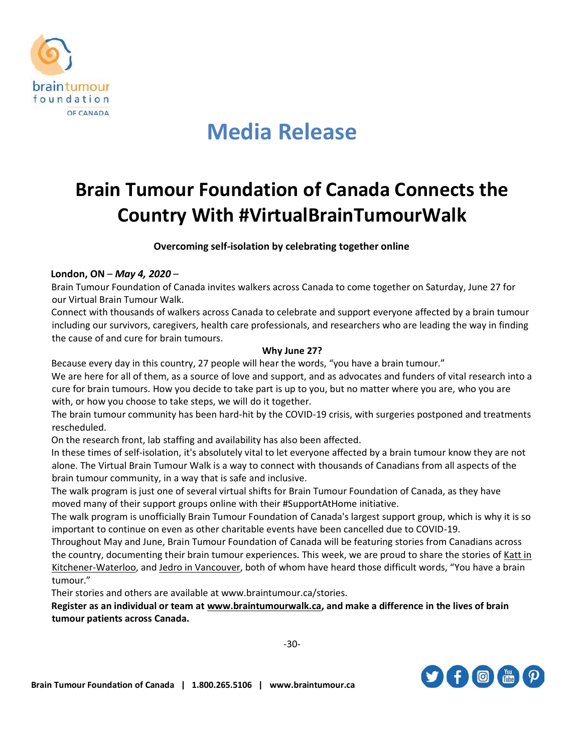

# **Media Release**

### **Brain Tumour Foundation of Canada Connects the Country With #VirtualBrainTumourWalk**

**Overcoming self-isolation by celebrating together online**

### **London, ON** – *May 4, 2020* –

Brain Tumour Foundation of Canada invites walkers across Canada to come together on Saturday, June 27 for our Virtual Brain Tumour Walk.

Connect with thousands of walkers across Canada to celebrate and support everyone affected by a brain tumour including our survivors, caregivers, health care professionals, and researchers who are leading the way in finding the cause of and cure for brain tumours.

### **Why June 27?**

Because every day in this country, 27 people will hear the words, "you have a brain tumour."

We are here for all of them, as a source of love and support, and as advocates and funders of vital research into a cure for brain tumours. How you decide to take part is up to you, but no matter where you are, who you are with, or how you choose to take steps, we will do it together.

The brain tumour community has been hard-hit by the COVID-19 crisis, with surgeries postponed and treatments rescheduled.

On the research front, lab staffing and availability has also been affected.

In these times of self-isolation, it's absolutely vital to let everyone affected by a brain tumour know they are not alone. The Virtual Brain Tumour Walk is a way to connect with thousands of Canadians from all aspects of the brain tumour community, in a way that is safe and inclusive.

The walk program is just one of several virtual shifts for Brain Tumour Foundation of Canada, as they have moved many of their support groups online with their #SupportAtHome initiative.

The walk program is unofficially Brain Tumour Foundation of Canada's largest support group, which is why it is so important to continue on even as other charitable events have been cancelled due to COVID-19.

Throughout May and June, Brain Tumour Foundation of Canada will be featuring stories from Canadians across the country, documenting their brain tumour experiences. This week, we are proud to share the stories of [Katt in](https://www.braintumour.ca/stories/metamorphosis-katts-story/)  [Kitchener-Waterloo,](https://www.braintumour.ca/stories/metamorphosis-katts-story/) an[d Jedro in Vancouver,](https://www.braintumour.ca/stories/cancer-as-a-catalyst-jedros-story/) both of whom have heard those difficult words, "You have a brain tumour."

Their stories and others are available at www.braintumour.ca/stories.

**Register as an individual or team a[t www.braintumourwalk.ca,](http://www.braintumourwalk.ca/) and make a difference in the lives of brain tumour patients across Canada.**